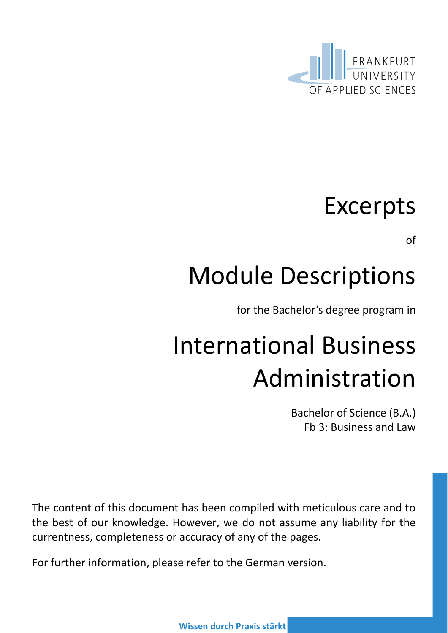

### Excerpts

of

## Module Descriptions

for the Bachelor's degree program in

# International Business Administration

Bachelor of Science (B.A.) Fb 3: Business and Law

The content of this document has been compiled with meticulous care and to the best of our knowledge. However, we do not assume any liability for the currentness, completeness or accuracy of any of the pages.

For further information, please refer to the German version.

**Wissen durch Praxis stärkt**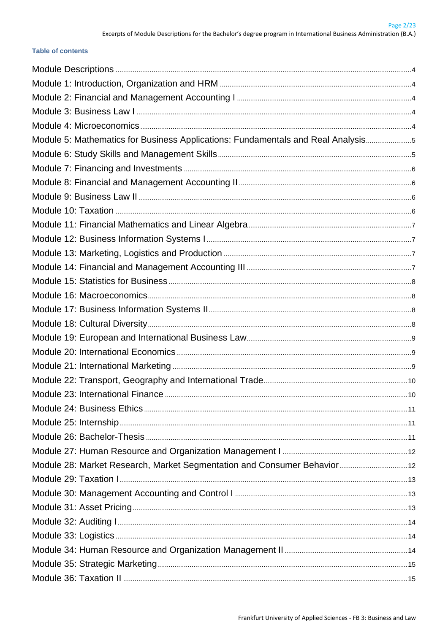#### **Table of contents**

| Module 5: Mathematics for Business Applications: Fundamentals and Real Analysis |  |
|---------------------------------------------------------------------------------|--|
|                                                                                 |  |
|                                                                                 |  |
|                                                                                 |  |
|                                                                                 |  |
|                                                                                 |  |
|                                                                                 |  |
|                                                                                 |  |
|                                                                                 |  |
|                                                                                 |  |
|                                                                                 |  |
|                                                                                 |  |
|                                                                                 |  |
|                                                                                 |  |
|                                                                                 |  |
|                                                                                 |  |
|                                                                                 |  |
|                                                                                 |  |
|                                                                                 |  |
|                                                                                 |  |
|                                                                                 |  |
|                                                                                 |  |
|                                                                                 |  |
|                                                                                 |  |
|                                                                                 |  |
|                                                                                 |  |
|                                                                                 |  |
|                                                                                 |  |
|                                                                                 |  |
|                                                                                 |  |
|                                                                                 |  |
|                                                                                 |  |
|                                                                                 |  |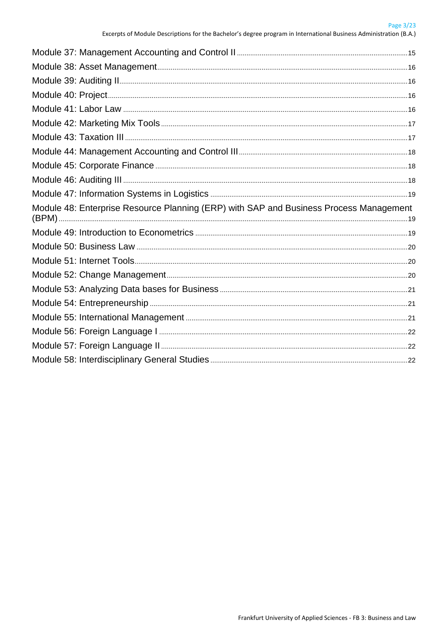| Module 48: Enterprise Resource Planning (ERP) with SAP and Business Process Management |  |
|----------------------------------------------------------------------------------------|--|
|                                                                                        |  |
|                                                                                        |  |
|                                                                                        |  |
|                                                                                        |  |
|                                                                                        |  |
|                                                                                        |  |
|                                                                                        |  |
|                                                                                        |  |
|                                                                                        |  |
|                                                                                        |  |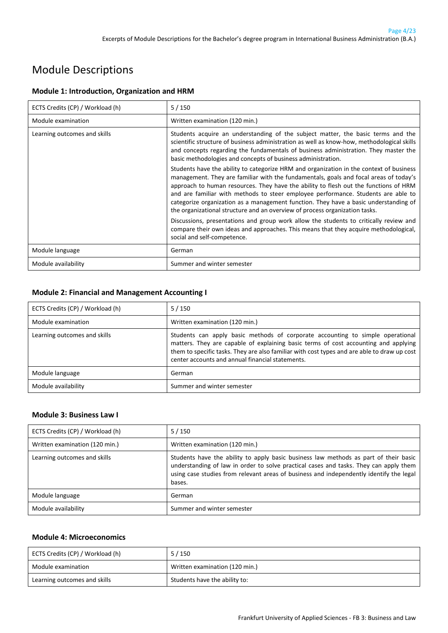### <span id="page-3-0"></span>Module Descriptions

#### <span id="page-3-1"></span>**Module 1: Introduction, Organization and HRM**

| ECTS Credits (CP) / Workload (h) | 5/150                                                                                                                                                                                                                                                                                                                                                                                                                                                                                                                                |
|----------------------------------|--------------------------------------------------------------------------------------------------------------------------------------------------------------------------------------------------------------------------------------------------------------------------------------------------------------------------------------------------------------------------------------------------------------------------------------------------------------------------------------------------------------------------------------|
| Module examination               | Written examination (120 min.)                                                                                                                                                                                                                                                                                                                                                                                                                                                                                                       |
| Learning outcomes and skills     | Students acquire an understanding of the subject matter, the basic terms and the<br>scientific structure of business administration as well as know-how, methodological skills<br>and concepts regarding the fundamentals of business administration. They master the<br>basic methodologies and concepts of business administration.                                                                                                                                                                                                |
|                                  | Students have the ability to categorize HRM and organization in the context of business<br>management. They are familiar with the fundamentals, goals and focal areas of today's<br>approach to human resources. They have the ability to flesh out the functions of HRM<br>and are familiar with methods to steer employee performance. Students are able to<br>categorize organization as a management function. They have a basic understanding of<br>the organizational structure and an overview of process organization tasks. |
|                                  | Discussions, presentations and group work allow the students to critically review and<br>compare their own ideas and approaches. This means that they acquire methodological,<br>social and self-competence.                                                                                                                                                                                                                                                                                                                         |
| Module language                  | German                                                                                                                                                                                                                                                                                                                                                                                                                                                                                                                               |
| Module availability              | Summer and winter semester                                                                                                                                                                                                                                                                                                                                                                                                                                                                                                           |

#### <span id="page-3-2"></span>**Module 2: Financial and Management Accounting I**

| ECTS Credits (CP) / Workload (h) | $5/150$                                                                                                                                                                                                                                                                                                                  |
|----------------------------------|--------------------------------------------------------------------------------------------------------------------------------------------------------------------------------------------------------------------------------------------------------------------------------------------------------------------------|
| Module examination               | Written examination (120 min.)                                                                                                                                                                                                                                                                                           |
| Learning outcomes and skills     | Students can apply basic methods of corporate accounting to simple operational<br>matters. They are capable of explaining basic terms of cost accounting and applying<br>them to specific tasks. They are also familiar with cost types and are able to draw up cost<br>center accounts and annual financial statements. |
| Module language                  | German                                                                                                                                                                                                                                                                                                                   |
| Module availability              | Summer and winter semester                                                                                                                                                                                                                                                                                               |

#### <span id="page-3-3"></span>**Module 3: Business Law I**

| ECTS Credits (CP) / Workload (h) | $5/150$                                                                                                                                                                                                                                                                            |
|----------------------------------|------------------------------------------------------------------------------------------------------------------------------------------------------------------------------------------------------------------------------------------------------------------------------------|
| Written examination (120 min.)   | Written examination (120 min.)                                                                                                                                                                                                                                                     |
| Learning outcomes and skills     | Students have the ability to apply basic business law methods as part of their basic<br>understanding of law in order to solve practical cases and tasks. They can apply them<br>using case studies from relevant areas of business and independently identify the legal<br>bases. |
| Module language                  | German                                                                                                                                                                                                                                                                             |
| Module availability              | Summer and winter semester                                                                                                                                                                                                                                                         |

#### <span id="page-3-4"></span>**Module 4: Microeconomics**

| ECTS Credits (CP) / Workload (h) | $5/150$                        |
|----------------------------------|--------------------------------|
| Module examination               | Written examination (120 min.) |
| Learning outcomes and skills     | Students have the ability to:  |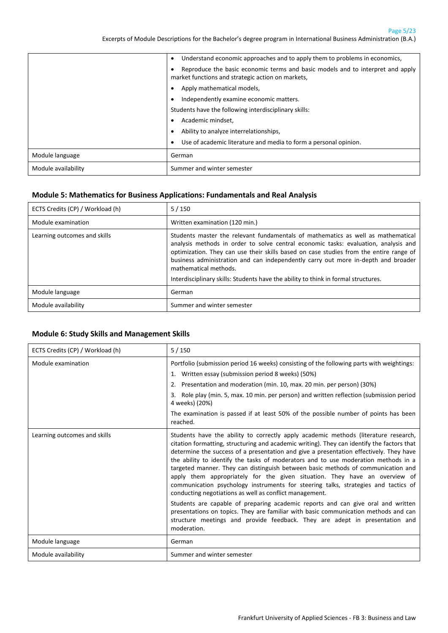Page 5/23

Excerpts of Module Descriptions for the Bachelor's degree program in International Business Administration (B.A.)

|                     | Understand economic approaches and to apply them to problems in economics,<br>$\bullet$                                             |
|---------------------|-------------------------------------------------------------------------------------------------------------------------------------|
|                     | Reproduce the basic economic terms and basic models and to interpret and apply<br>market functions and strategic action on markets, |
|                     | Apply mathematical models,                                                                                                          |
|                     | Independently examine economic matters.                                                                                             |
|                     | Students have the following interdisciplinary skills:                                                                               |
|                     | Academic mindset,<br>$\bullet$                                                                                                      |
|                     | Ability to analyze interrelationships,<br>٠                                                                                         |
|                     | Use of academic literature and media to form a personal opinion.<br>٠                                                               |
| Module language     | German                                                                                                                              |
| Module availability | Summer and winter semester                                                                                                          |

#### <span id="page-4-0"></span>**Module 5: Mathematics for Business Applications: Fundamentals and Real Analysis**

| ECTS Credits (CP) / Workload (h) | $5/150$                                                                                                                                                                                                                                                                                                                                                                                                                                                               |
|----------------------------------|-----------------------------------------------------------------------------------------------------------------------------------------------------------------------------------------------------------------------------------------------------------------------------------------------------------------------------------------------------------------------------------------------------------------------------------------------------------------------|
| Module examination               | Written examination (120 min.)                                                                                                                                                                                                                                                                                                                                                                                                                                        |
| Learning outcomes and skills     | Students master the relevant fundamentals of mathematics as well as mathematical<br>analysis methods in order to solve central economic tasks: evaluation, analysis and<br>optimization. They can use their skills based on case studies from the entire range of<br>business administration and can independently carry out more in-depth and broader<br>mathematical methods.<br>Interdisciplinary skills: Students have the ability to think in formal structures. |
| Module language                  | German                                                                                                                                                                                                                                                                                                                                                                                                                                                                |
| Module availability              | Summer and winter semester                                                                                                                                                                                                                                                                                                                                                                                                                                            |

#### <span id="page-4-1"></span>**Module 6: Study Skills and Management Skills**

| ECTS Credits (CP) / Workload (h) | 5/150                                                                                                                                                                                                                                                                                                                                                                                                                                                                                                                                                                                                                                                                                                                                                                                                                                                                                                                                                         |
|----------------------------------|---------------------------------------------------------------------------------------------------------------------------------------------------------------------------------------------------------------------------------------------------------------------------------------------------------------------------------------------------------------------------------------------------------------------------------------------------------------------------------------------------------------------------------------------------------------------------------------------------------------------------------------------------------------------------------------------------------------------------------------------------------------------------------------------------------------------------------------------------------------------------------------------------------------------------------------------------------------|
| Module examination               | Portfolio (submission period 16 weeks) consisting of the following parts with weightings:                                                                                                                                                                                                                                                                                                                                                                                                                                                                                                                                                                                                                                                                                                                                                                                                                                                                     |
|                                  | 1. Written essay (submission period 8 weeks) (50%)                                                                                                                                                                                                                                                                                                                                                                                                                                                                                                                                                                                                                                                                                                                                                                                                                                                                                                            |
|                                  | Presentation and moderation (min. 10, max. 20 min. per person) (30%)<br>2.                                                                                                                                                                                                                                                                                                                                                                                                                                                                                                                                                                                                                                                                                                                                                                                                                                                                                    |
|                                  | Role play (min. 5, max. 10 min. per person) and written reflection (submission period<br>3.<br>4 weeks) (20%)                                                                                                                                                                                                                                                                                                                                                                                                                                                                                                                                                                                                                                                                                                                                                                                                                                                 |
|                                  | The examination is passed if at least 50% of the possible number of points has been<br>reached.                                                                                                                                                                                                                                                                                                                                                                                                                                                                                                                                                                                                                                                                                                                                                                                                                                                               |
| Learning outcomes and skills     | Students have the ability to correctly apply academic methods (literature research,<br>citation formatting, structuring and academic writing). They can identify the factors that<br>determine the success of a presentation and give a presentation effectively. They have<br>the ability to identify the tasks of moderators and to use moderation methods in a<br>targeted manner. They can distinguish between basic methods of communication and<br>apply them appropriately for the given situation. They have an overview of<br>communication psychology instruments for steering talks, strategies and tactics of<br>conducting negotiations as well as conflict management.<br>Students are capable of preparing academic reports and can give oral and written<br>presentations on topics. They are familiar with basic communication methods and can<br>structure meetings and provide feedback. They are adept in presentation and<br>moderation. |
| Module language                  | German                                                                                                                                                                                                                                                                                                                                                                                                                                                                                                                                                                                                                                                                                                                                                                                                                                                                                                                                                        |
| Module availability              | Summer and winter semester                                                                                                                                                                                                                                                                                                                                                                                                                                                                                                                                                                                                                                                                                                                                                                                                                                                                                                                                    |
|                                  |                                                                                                                                                                                                                                                                                                                                                                                                                                                                                                                                                                                                                                                                                                                                                                                                                                                                                                                                                               |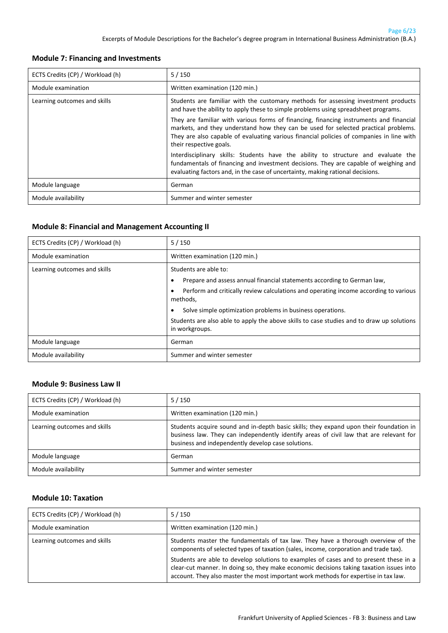#### <span id="page-5-0"></span>**Module 7: Financing and Investments**

| ECTS Credits (CP) / Workload (h) | $5/150$                                                                                                                                                                                                                                                                                             |
|----------------------------------|-----------------------------------------------------------------------------------------------------------------------------------------------------------------------------------------------------------------------------------------------------------------------------------------------------|
| Module examination               | Written examination (120 min.)                                                                                                                                                                                                                                                                      |
| Learning outcomes and skills     | Students are familiar with the customary methods for assessing investment products<br>and have the ability to apply these to simple problems using spreadsheet programs.                                                                                                                            |
|                                  | They are familiar with various forms of financing, financing instruments and financial<br>markets, and they understand how they can be used for selected practical problems.<br>They are also capable of evaluating various financial policies of companies in line with<br>their respective goals. |
|                                  | Interdisciplinary skills: Students have the ability to structure and evaluate the<br>fundamentals of financing and investment decisions. They are capable of weighing and<br>evaluating factors and, in the case of uncertainty, making rational decisions.                                         |
| Module language                  | German                                                                                                                                                                                                                                                                                              |
| Module availability              | Summer and winter semester                                                                                                                                                                                                                                                                          |

#### <span id="page-5-1"></span>**Module 8: Financial and Management Accounting II**

| ECTS Credits (CP) / Workload (h) | 5/150                                                                                                       |
|----------------------------------|-------------------------------------------------------------------------------------------------------------|
| Module examination               | Written examination (120 min.)                                                                              |
| Learning outcomes and skills     | Students are able to:                                                                                       |
|                                  | Prepare and assess annual financial statements according to German law,<br>٠                                |
|                                  | Perform and critically review calculations and operating income according to various<br>methods,            |
|                                  | Solve simple optimization problems in business operations.<br>$\bullet$                                     |
|                                  | Students are also able to apply the above skills to case studies and to draw up solutions<br>in workgroups. |
| Module language                  | German                                                                                                      |
| Module availability              | Summer and winter semester                                                                                  |

#### <span id="page-5-2"></span>**Module 9: Business Law II**

| ECTS Credits (CP) / Workload (h) | $5/150$                                                                                                                                                                                                                                |
|----------------------------------|----------------------------------------------------------------------------------------------------------------------------------------------------------------------------------------------------------------------------------------|
| Module examination               | Written examination (120 min.)                                                                                                                                                                                                         |
| Learning outcomes and skills     | Students acquire sound and in-depth basic skills; they expand upon their foundation in<br>business law. They can independently identify areas of civil law that are relevant for<br>business and independently develop case solutions. |
| Module language                  | German                                                                                                                                                                                                                                 |
| Module availability              | Summer and winter semester                                                                                                                                                                                                             |

#### <span id="page-5-3"></span>**Module 10: Taxation**

| ECTS Credits (CP) / Workload (h) | $5/150$                                                                                                                                                                                                                                                                                                                                                                                                                                              |
|----------------------------------|------------------------------------------------------------------------------------------------------------------------------------------------------------------------------------------------------------------------------------------------------------------------------------------------------------------------------------------------------------------------------------------------------------------------------------------------------|
| Module examination               | Written examination (120 min.)                                                                                                                                                                                                                                                                                                                                                                                                                       |
| Learning outcomes and skills     | Students master the fundamentals of tax law. They have a thorough overview of the<br>components of selected types of taxation (sales, income, corporation and trade tax).<br>Students are able to develop solutions to examples of cases and to present these in a<br>clear-cut manner. In doing so, they make economic decisions taking taxation issues into<br>account. They also master the most important work methods for expertise in tax law. |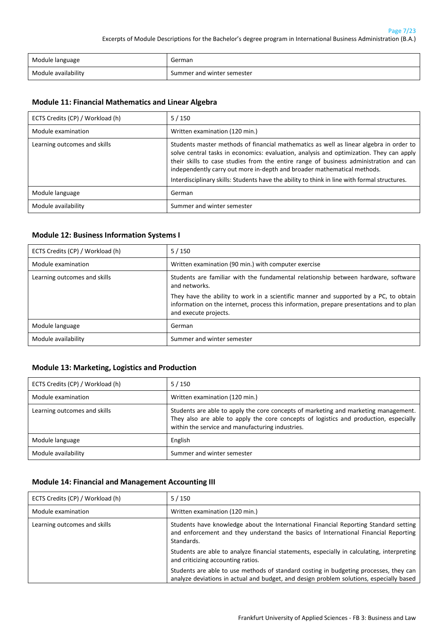| Module language     | German                     |
|---------------------|----------------------------|
| Module availability | Summer and winter semester |

#### <span id="page-6-0"></span>**Module 11: Financial Mathematics and Linear Algebra**

| ECTS Credits (CP) / Workload (h) | $5/150$                                                                                                                                                                                                                                                                                                                                                                                                                                               |
|----------------------------------|-------------------------------------------------------------------------------------------------------------------------------------------------------------------------------------------------------------------------------------------------------------------------------------------------------------------------------------------------------------------------------------------------------------------------------------------------------|
| Module examination               | Written examination (120 min.)                                                                                                                                                                                                                                                                                                                                                                                                                        |
| Learning outcomes and skills     | Students master methods of financial mathematics as well as linear algebra in order to<br>solve central tasks in economics: evaluation, analysis and optimization. They can apply<br>their skills to case studies from the entire range of business administration and can<br>independently carry out more in-depth and broader mathematical methods.<br>Interdisciplinary skills: Students have the ability to think in line with formal structures. |
| Module language                  | German                                                                                                                                                                                                                                                                                                                                                                                                                                                |
| Module availability              | Summer and winter semester                                                                                                                                                                                                                                                                                                                                                                                                                            |

#### <span id="page-6-1"></span>**Module 12: Business Information Systems I**

| ECTS Credits (CP) / Workload (h) | $5/150$                                                                                                                                                                                                    |
|----------------------------------|------------------------------------------------------------------------------------------------------------------------------------------------------------------------------------------------------------|
| Module examination               | Written examination (90 min.) with computer exercise                                                                                                                                                       |
| Learning outcomes and skills     | Students are familiar with the fundamental relationship between hardware, software<br>and networks.                                                                                                        |
|                                  | They have the ability to work in a scientific manner and supported by a PC, to obtain<br>information on the internet, process this information, prepare presentations and to plan<br>and execute projects. |
| Module language                  | German                                                                                                                                                                                                     |
| Module availability              | Summer and winter semester                                                                                                                                                                                 |

#### <span id="page-6-2"></span>**Module 13: Marketing, Logistics and Production**

| ECTS Credits (CP) / Workload (h) | $5/150$                                                                                                                                                                                                                          |
|----------------------------------|----------------------------------------------------------------------------------------------------------------------------------------------------------------------------------------------------------------------------------|
| Module examination               | Written examination (120 min.)                                                                                                                                                                                                   |
| Learning outcomes and skills     | Students are able to apply the core concepts of marketing and marketing management.<br>They also are able to apply the core concepts of logistics and production, especially<br>within the service and manufacturing industries. |
| Module language                  | English                                                                                                                                                                                                                          |
| Module availability              | Summer and winter semester                                                                                                                                                                                                       |

#### <span id="page-6-3"></span>**Module 14: Financial and Management Accounting III**

| ECTS Credits (CP) / Workload (h) | 5/150                                                                                                                                                                                     |
|----------------------------------|-------------------------------------------------------------------------------------------------------------------------------------------------------------------------------------------|
| Module examination               | Written examination (120 min.)                                                                                                                                                            |
| Learning outcomes and skills     | Students have knowledge about the International Financial Reporting Standard setting<br>and enforcement and they understand the basics of International Financial Reporting<br>Standards. |
|                                  | Students are able to analyze financial statements, especially in calculating, interpreting<br>and criticizing accounting ratios.                                                          |
|                                  | Students are able to use methods of standard costing in budgeting processes, they can<br>analyze deviations in actual and budget, and design problem solutions, especially based          |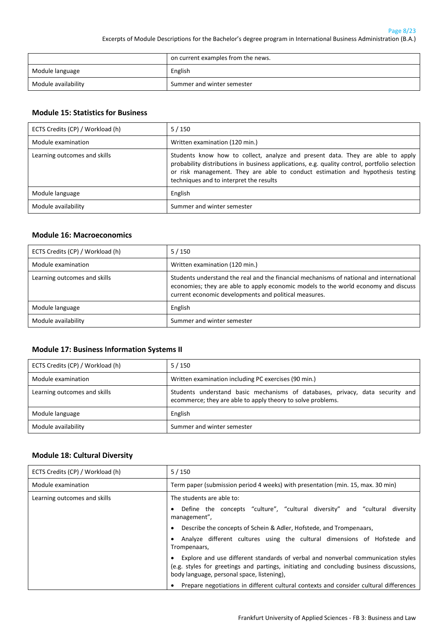|                     | on current examples from the news. |
|---------------------|------------------------------------|
| Module language     | English                            |
| Module availability | Summer and winter semester         |

#### <span id="page-7-0"></span>**Module 15: Statistics for Business**

| ECTS Credits (CP) / Workload (h) | $5/150$                                                                                                                                                                                                                                                                                                      |
|----------------------------------|--------------------------------------------------------------------------------------------------------------------------------------------------------------------------------------------------------------------------------------------------------------------------------------------------------------|
| Module examination               | Written examination (120 min.)                                                                                                                                                                                                                                                                               |
| Learning outcomes and skills     | Students know how to collect, analyze and present data. They are able to apply<br>probability distributions in business applications, e.g. quality control, portfolio selection<br>or risk management. They are able to conduct estimation and hypothesis testing<br>techniques and to interpret the results |
| Module language                  | English                                                                                                                                                                                                                                                                                                      |
| Module availability              | Summer and winter semester                                                                                                                                                                                                                                                                                   |

#### <span id="page-7-1"></span>**Module 16: Macroeconomics**

| ECTS Credits (CP) / Workload (h) | $5/150$                                                                                                                                                                                                                                |
|----------------------------------|----------------------------------------------------------------------------------------------------------------------------------------------------------------------------------------------------------------------------------------|
| Module examination               | Written examination (120 min.)                                                                                                                                                                                                         |
| Learning outcomes and skills     | Students understand the real and the financial mechanisms of national and international<br>economies; they are able to apply economic models to the world economy and discuss<br>current economic developments and political measures. |
| Module language                  | English                                                                                                                                                                                                                                |
| Module availability              | Summer and winter semester                                                                                                                                                                                                             |

#### <span id="page-7-2"></span>**Module 17: Business Information Systems II**

| ECTS Credits (CP) / Workload (h) | $5/150$                                                                                                                                      |
|----------------------------------|----------------------------------------------------------------------------------------------------------------------------------------------|
| Module examination               | Written examination including PC exercises (90 min.)                                                                                         |
| Learning outcomes and skills     | Students understand basic mechanisms of databases, privacy, data security and<br>ecommerce; they are able to apply theory to solve problems. |
| Module language                  | English                                                                                                                                      |
| Module availability              | Summer and winter semester                                                                                                                   |

#### <span id="page-7-3"></span>**Module 18: Cultural Diversity**

| ECTS Credits (CP) / Workload (h) | 5/150                                                                                                                                                                                                                                                                                                                                 |
|----------------------------------|---------------------------------------------------------------------------------------------------------------------------------------------------------------------------------------------------------------------------------------------------------------------------------------------------------------------------------------|
| Module examination               | Term paper (submission period 4 weeks) with presentation (min. 15, max. 30 min)                                                                                                                                                                                                                                                       |
| Learning outcomes and skills     | The students are able to:<br>Define the concepts "culture", "cultural diversity" and "cultural diversity<br>$\bullet$<br>management",<br>Describe the concepts of Schein & Adler, Hofstede, and Trompenaars,<br>$\bullet$<br>Analyze different cultures using the cultural dimensions of Hofstede and<br>٠<br>Trompenaars,            |
|                                  | Explore and use different standards of verbal and nonverbal communication styles<br>$\bullet$<br>(e.g. styles for greetings and partings, initiating and concluding business discussions,<br>body language, personal space, listening),<br>Prepare negotiations in different cultural contexts and consider cultural differences<br>٠ |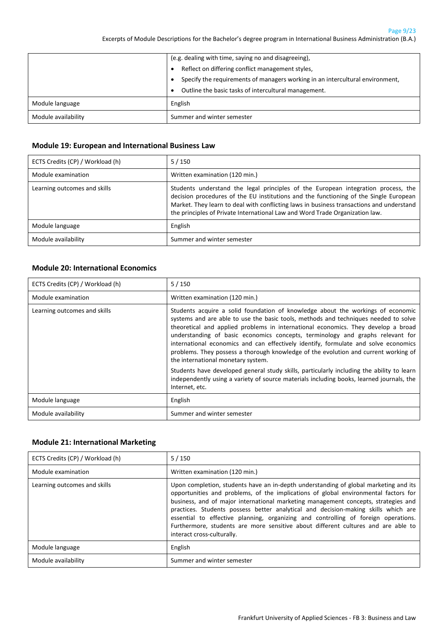Page 9/23

Excerpts of Module Descriptions for the Bachelor's degree program in International Business Administration (B.A.)

|                     | (e.g. dealing with time, saying no and disagreeing),                               |
|---------------------|------------------------------------------------------------------------------------|
|                     | Reflect on differing conflict management styles,                                   |
|                     | Specify the requirements of managers working in an intercultural environment,<br>٠ |
|                     | Outline the basic tasks of intercultural management.<br>٠                          |
| Module language     | English                                                                            |
| Module availability | Summer and winter semester                                                         |

#### <span id="page-8-0"></span>**Module 19: European and International Business Law**

| ECTS Credits (CP) / Workload (h) | $5/150$                                                                                                                                                                                                                                                                                                                                                |
|----------------------------------|--------------------------------------------------------------------------------------------------------------------------------------------------------------------------------------------------------------------------------------------------------------------------------------------------------------------------------------------------------|
| Module examination               | Written examination (120 min.)                                                                                                                                                                                                                                                                                                                         |
| Learning outcomes and skills     | Students understand the legal principles of the European integration process, the<br>decision procedures of the EU institutions and the functioning of the Single European<br>Market. They learn to deal with conflicting laws in business transactions and understand<br>the principles of Private International Law and Word Trade Organization law. |
| Module language                  | English                                                                                                                                                                                                                                                                                                                                                |
| Module availability              | Summer and winter semester                                                                                                                                                                                                                                                                                                                             |

#### <span id="page-8-1"></span>**Module 20: International Economics**

| ECTS Credits (CP) / Workload (h) | 5/150                                                                                                                                                                                                                                                                                                                                                                                                                                                                                                                                                             |
|----------------------------------|-------------------------------------------------------------------------------------------------------------------------------------------------------------------------------------------------------------------------------------------------------------------------------------------------------------------------------------------------------------------------------------------------------------------------------------------------------------------------------------------------------------------------------------------------------------------|
| Module examination               | Written examination (120 min.)                                                                                                                                                                                                                                                                                                                                                                                                                                                                                                                                    |
| Learning outcomes and skills     | Students acquire a solid foundation of knowledge about the workings of economic<br>systems and are able to use the basic tools, methods and techniques needed to solve<br>theoretical and applied problems in international economics. They develop a broad<br>understanding of basic economics concepts, terminology and graphs relevant for<br>international economics and can effectively identify, formulate and solve economics<br>problems. They possess a thorough knowledge of the evolution and current working of<br>the international monetary system. |
|                                  | Students have developed general study skills, particularly including the ability to learn<br>independently using a variety of source materials including books, learned journals, the<br>Internet, etc.                                                                                                                                                                                                                                                                                                                                                           |
| Module language                  | English                                                                                                                                                                                                                                                                                                                                                                                                                                                                                                                                                           |
| Module availability              | Summer and winter semester                                                                                                                                                                                                                                                                                                                                                                                                                                                                                                                                        |

#### <span id="page-8-2"></span>**Module 21: International Marketing**

| ECTS Credits (CP) / Workload (h) | 5/150                                                                                                                                                                                                                                                                                                                                                                                                                                                                                                                                                            |
|----------------------------------|------------------------------------------------------------------------------------------------------------------------------------------------------------------------------------------------------------------------------------------------------------------------------------------------------------------------------------------------------------------------------------------------------------------------------------------------------------------------------------------------------------------------------------------------------------------|
| Module examination               | Written examination (120 min.)                                                                                                                                                                                                                                                                                                                                                                                                                                                                                                                                   |
| Learning outcomes and skills     | Upon completion, students have an in-depth understanding of global marketing and its<br>opportunities and problems, of the implications of global environmental factors for<br>business, and of major international marketing management concepts, strategies and<br>practices. Students possess better analytical and decision-making skills which are<br>essential to effective planning, organizing and controlling of foreign operations.<br>Furthermore, students are more sensitive about different cultures and are able to<br>interact cross-culturally. |
| Module language                  | English                                                                                                                                                                                                                                                                                                                                                                                                                                                                                                                                                          |
| Module availability              | Summer and winter semester                                                                                                                                                                                                                                                                                                                                                                                                                                                                                                                                       |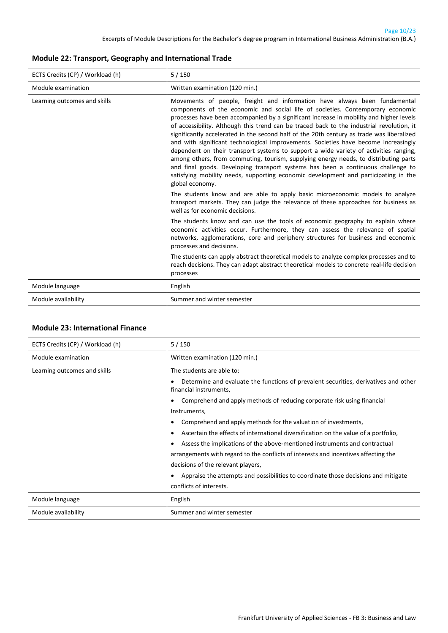#### <span id="page-9-0"></span>**Module 22: Transport, Geography and International Trade**

| ECTS Credits (CP) / Workload (h) | 5/150                                                                                                                                                                                                                                                                                                                                                                                                                                                                                                                                                                                                                                                                                                                                                                                                                                                                                                                                                                                                                                                                                                                             |
|----------------------------------|-----------------------------------------------------------------------------------------------------------------------------------------------------------------------------------------------------------------------------------------------------------------------------------------------------------------------------------------------------------------------------------------------------------------------------------------------------------------------------------------------------------------------------------------------------------------------------------------------------------------------------------------------------------------------------------------------------------------------------------------------------------------------------------------------------------------------------------------------------------------------------------------------------------------------------------------------------------------------------------------------------------------------------------------------------------------------------------------------------------------------------------|
| Module examination               | Written examination (120 min.)                                                                                                                                                                                                                                                                                                                                                                                                                                                                                                                                                                                                                                                                                                                                                                                                                                                                                                                                                                                                                                                                                                    |
| Learning outcomes and skills     | Movements of people, freight and information have always been fundamental<br>components of the economic and social life of societies. Contemporary economic<br>processes have been accompanied by a significant increase in mobility and higher levels<br>of accessibility. Although this trend can be traced back to the industrial revolution, it<br>significantly accelerated in the second half of the 20th century as trade was liberalized<br>and with significant technological improvements. Societies have become increasingly<br>dependent on their transport systems to support a wide variety of activities ranging,<br>among others, from commuting, tourism, supplying energy needs, to distributing parts<br>and final goods. Developing transport systems has been a continuous challenge to<br>satisfying mobility needs, supporting economic development and participating in the<br>global economy.<br>The students know and are able to apply basic microeconomic models to analyze<br>transport markets. They can judge the relevance of these approaches for business as<br>well as for economic decisions. |
|                                  | The students know and can use the tools of economic geography to explain where<br>economic activities occur. Furthermore, they can assess the relevance of spatial<br>networks, agglomerations, core and periphery structures for business and economic<br>processes and decisions.<br>The students can apply abstract theoretical models to analyze complex processes and to<br>reach decisions. They can adapt abstract theoretical models to concrete real-life decision<br>processes                                                                                                                                                                                                                                                                                                                                                                                                                                                                                                                                                                                                                                          |
| Module language                  | English                                                                                                                                                                                                                                                                                                                                                                                                                                                                                                                                                                                                                                                                                                                                                                                                                                                                                                                                                                                                                                                                                                                           |
| Module availability              | Summer and winter semester                                                                                                                                                                                                                                                                                                                                                                                                                                                                                                                                                                                                                                                                                                                                                                                                                                                                                                                                                                                                                                                                                                        |

#### <span id="page-9-1"></span>**Module 23: International Finance**

| ECTS Credits (CP) / Workload (h) | 5/150                                                                                                              |
|----------------------------------|--------------------------------------------------------------------------------------------------------------------|
| Module examination               | Written examination (120 min.)                                                                                     |
| Learning outcomes and skills     | The students are able to:                                                                                          |
|                                  | Determine and evaluate the functions of prevalent securities, derivatives and other<br>٠<br>financial instruments, |
|                                  | Comprehend and apply methods of reducing corporate risk using financial<br>٠                                       |
|                                  | Instruments,                                                                                                       |
|                                  | Comprehend and apply methods for the valuation of investments,<br>$\bullet$                                        |
|                                  | Ascertain the effects of international diversification on the value of a portfolio,<br>٠                           |
|                                  | Assess the implications of the above-mentioned instruments and contractual<br>٠                                    |
|                                  | arrangements with regard to the conflicts of interests and incentives affecting the                                |
|                                  | decisions of the relevant players,                                                                                 |
|                                  | Appraise the attempts and possibilities to coordinate those decisions and mitigate<br>٠                            |
|                                  | conflicts of interests.                                                                                            |
| Module language                  | English                                                                                                            |
| Module availability              | Summer and winter semester                                                                                         |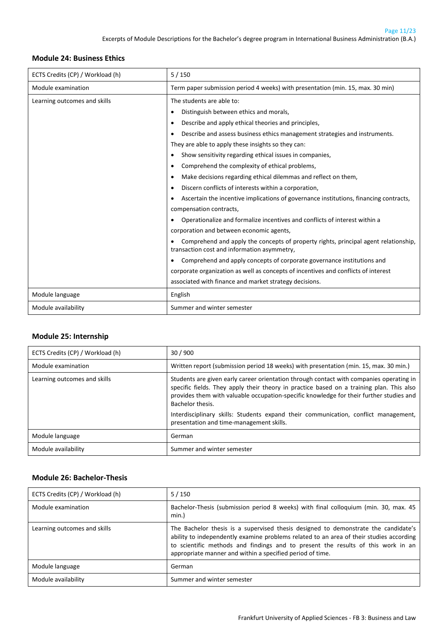#### <span id="page-10-0"></span>**Module 24: Business Ethics**

| ECTS Credits (CP) / Workload (h) | 5/150                                                                                                                                   |
|----------------------------------|-----------------------------------------------------------------------------------------------------------------------------------------|
| Module examination               | Term paper submission period 4 weeks) with presentation (min. 15, max. 30 min)                                                          |
| Learning outcomes and skills     | The students are able to:                                                                                                               |
|                                  | Distinguish between ethics and morals,<br>٠                                                                                             |
|                                  | Describe and apply ethical theories and principles,<br>٠                                                                                |
|                                  | Describe and assess business ethics management strategies and instruments.<br>$\bullet$                                                 |
|                                  | They are able to apply these insights so they can:                                                                                      |
|                                  | Show sensitivity regarding ethical issues in companies,<br>$\bullet$                                                                    |
|                                  | Comprehend the complexity of ethical problems,<br>٠                                                                                     |
|                                  | Make decisions regarding ethical dilemmas and reflect on them,<br>٠                                                                     |
|                                  | Discern conflicts of interests within a corporation,<br>$\bullet$                                                                       |
|                                  | Ascertain the incentive implications of governance institutions, financing contracts,<br>$\bullet$                                      |
|                                  | compensation contracts,                                                                                                                 |
|                                  | Operationalize and formalize incentives and conflicts of interest within a<br>$\bullet$                                                 |
|                                  | corporation and between economic agents,                                                                                                |
|                                  | Comprehend and apply the concepts of property rights, principal agent relationship,<br>٠<br>transaction cost and information asymmetry, |
|                                  | Comprehend and apply concepts of corporate governance institutions and<br>$\bullet$                                                     |
|                                  | corporate organization as well as concepts of incentives and conflicts of interest                                                      |
|                                  | associated with finance and market strategy decisions.                                                                                  |
| Module language                  | English                                                                                                                                 |
| Module availability              | Summer and winter semester                                                                                                              |

#### <span id="page-10-1"></span>**Module 25: Internship**

| ECTS Credits (CP) / Workload (h) | 30/900                                                                                                                                                                                                                                                                                             |
|----------------------------------|----------------------------------------------------------------------------------------------------------------------------------------------------------------------------------------------------------------------------------------------------------------------------------------------------|
| Module examination               | Written report (submission period 18 weeks) with presentation (min. 15, max. 30 min.)                                                                                                                                                                                                              |
| Learning outcomes and skills     | Students are given early career orientation through contact with companies operating in<br>specific fields. They apply their theory in practice based on a training plan. This also<br>provides them with valuable occupation-specific knowledge for their further studies and<br>Bachelor thesis. |
|                                  | Interdisciplinary skills: Students expand their communication, conflict management,<br>presentation and time-management skills.                                                                                                                                                                    |
| Module language                  | German                                                                                                                                                                                                                                                                                             |
| Module availability              | Summer and winter semester                                                                                                                                                                                                                                                                         |

#### <span id="page-10-2"></span>**Module 26: Bachelor-Thesis**

| ECTS Credits (CP) / Workload (h) | $5/150$                                                                                                                                                                                                                                                                                                                        |
|----------------------------------|--------------------------------------------------------------------------------------------------------------------------------------------------------------------------------------------------------------------------------------------------------------------------------------------------------------------------------|
| Module examination               | Bachelor-Thesis (submission period 8 weeks) with final colloquium (min. 30, max. 45<br>min.                                                                                                                                                                                                                                    |
| Learning outcomes and skills     | The Bachelor thesis is a supervised thesis designed to demonstrate the candidate's<br>ability to independently examine problems related to an area of their studies according<br>to scientific methods and findings and to present the results of this work in an<br>appropriate manner and within a specified period of time. |
| Module language                  | German                                                                                                                                                                                                                                                                                                                         |
| Module availability              | Summer and winter semester                                                                                                                                                                                                                                                                                                     |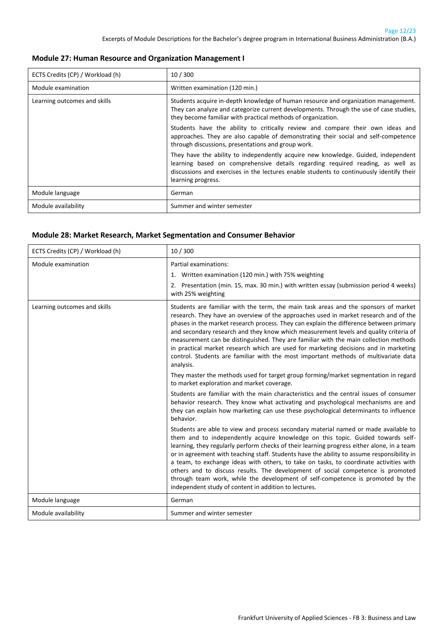#### <span id="page-11-0"></span>**Module 27: Human Resource and Organization Management I**

| ECTS Credits (CP) / Workload (h) | 10/300                                                                                                                                                                                                                                                                                |
|----------------------------------|---------------------------------------------------------------------------------------------------------------------------------------------------------------------------------------------------------------------------------------------------------------------------------------|
| Module examination               | Written examination (120 min.)                                                                                                                                                                                                                                                        |
| Learning outcomes and skills     | Students acquire in-depth knowledge of human resource and organization management.<br>They can analyze and categorize current developments. Through the use of case studies,<br>they become familiar with practical methods of organization.                                          |
|                                  | Students have the ability to critically review and compare their own ideas and<br>approaches. They are also capable of demonstrating their social and self-competence<br>through discussions, presentations and group work.                                                           |
|                                  | They have the ability to independently acquire new knowledge. Guided, independent<br>learning based on comprehensive details regarding required reading, as well as<br>discussions and exercises in the lectures enable students to continuously identify their<br>learning progress. |
| Module language                  | German                                                                                                                                                                                                                                                                                |
| Module availability              | Summer and winter semester                                                                                                                                                                                                                                                            |

#### <span id="page-11-1"></span>**Module 28: Market Research, Market Segmentation and Consumer Behavior**

| ECTS Credits (CP) / Workload (h) | 10/300                                                                                                                                                                                                                                                                                                                                                                                                                                                                                                                                                                                                                                                                                     |
|----------------------------------|--------------------------------------------------------------------------------------------------------------------------------------------------------------------------------------------------------------------------------------------------------------------------------------------------------------------------------------------------------------------------------------------------------------------------------------------------------------------------------------------------------------------------------------------------------------------------------------------------------------------------------------------------------------------------------------------|
| Module examination               | Partial examinations:<br>1. Written examination (120 min.) with 75% weighting<br>2. Presentation (min. 15, max. 30 min.) with written essay (submission period 4 weeks)<br>with 25% weighting                                                                                                                                                                                                                                                                                                                                                                                                                                                                                              |
| Learning outcomes and skills     | Students are familiar with the term, the main task areas and the sponsors of market<br>research. They have an overview of the approaches used in market research and of the<br>phases in the market research process. They can explain the difference between primary<br>and secondary research and they know which measurement levels and quality criteria of<br>measurement can be distinguished. They are familiar with the main collection methods<br>in practical market research which are used for marketing decisions and in marketing<br>control. Students are familiar with the most important methods of multivariate data<br>analysis.                                         |
|                                  | They master the methods used for target group forming/market segmentation in regard<br>to market exploration and market coverage.                                                                                                                                                                                                                                                                                                                                                                                                                                                                                                                                                          |
|                                  | Students are familiar with the main characteristics and the central issues of consumer<br>behavior research. They know what activating and psychological mechanisms are and<br>they can explain how marketing can use these psychological determinants to influence<br>behavior.                                                                                                                                                                                                                                                                                                                                                                                                           |
|                                  | Students are able to view and process secondary material named or made available to<br>them and to independently acquire knowledge on this topic. Guided towards self-<br>learning, they regularly perform checks of their learning progress either alone, in a team<br>or in agreement with teaching staff. Students have the ability to assume responsibility in<br>a team, to exchange ideas with others, to take on tasks, to coordinate activities with<br>others and to discuss results. The development of social competence is promoted<br>through team work, while the development of self-competence is promoted by the<br>independent study of content in addition to lectures. |
| Module language                  | German                                                                                                                                                                                                                                                                                                                                                                                                                                                                                                                                                                                                                                                                                     |
| Module availability              | Summer and winter semester                                                                                                                                                                                                                                                                                                                                                                                                                                                                                                                                                                                                                                                                 |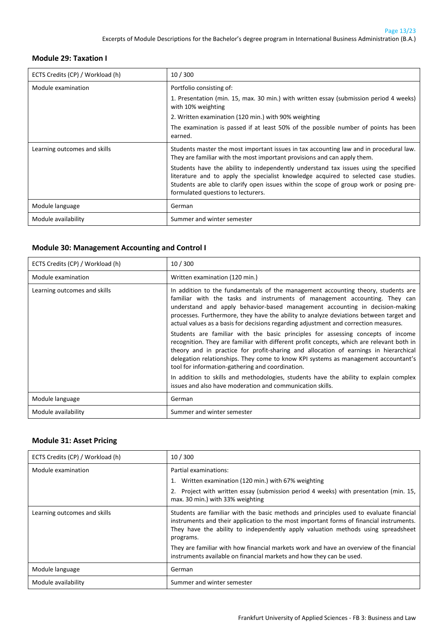#### <span id="page-12-0"></span>**Module 29: Taxation I**

| ECTS Credits (CP) / Workload (h) | 10/300                                                                                                                                                                                                                                                                                                      |
|----------------------------------|-------------------------------------------------------------------------------------------------------------------------------------------------------------------------------------------------------------------------------------------------------------------------------------------------------------|
| Module examination               | Portfolio consisting of:                                                                                                                                                                                                                                                                                    |
|                                  | 1. Presentation (min. 15, max. 30 min.) with written essay (submission period 4 weeks)<br>with 10% weighting                                                                                                                                                                                                |
|                                  | 2. Written examination (120 min.) with 90% weighting                                                                                                                                                                                                                                                        |
|                                  | The examination is passed if at least 50% of the possible number of points has been<br>earned.                                                                                                                                                                                                              |
| Learning outcomes and skills     | Students master the most important issues in tax accounting law and in procedural law.<br>They are familiar with the most important provisions and can apply them.                                                                                                                                          |
|                                  | Students have the ability to independently understand tax issues using the specified<br>literature and to apply the specialist knowledge acquired to selected case studies.<br>Students are able to clarify open issues within the scope of group work or posing pre-<br>formulated questions to lecturers. |
| Module language                  | German                                                                                                                                                                                                                                                                                                      |
| Module availability              | Summer and winter semester                                                                                                                                                                                                                                                                                  |

#### <span id="page-12-1"></span>**Module 30: Management Accounting and Control I**

| ECTS Credits (CP) / Workload (h) | 10/300                                                                                                                                                                                                                                                                                                                                                                                                                            |
|----------------------------------|-----------------------------------------------------------------------------------------------------------------------------------------------------------------------------------------------------------------------------------------------------------------------------------------------------------------------------------------------------------------------------------------------------------------------------------|
| Module examination               | Written examination (120 min.)                                                                                                                                                                                                                                                                                                                                                                                                    |
| Learning outcomes and skills     | In addition to the fundamentals of the management accounting theory, students are<br>familiar with the tasks and instruments of management accounting. They can<br>understand and apply behavior-based management accounting in decision-making<br>processes. Furthermore, they have the ability to analyze deviations between target and<br>actual values as a basis for decisions regarding adjustment and correction measures. |
|                                  | Students are familiar with the basic principles for assessing concepts of income<br>recognition. They are familiar with different profit concepts, which are relevant both in<br>theory and in practice for profit-sharing and allocation of earnings in hierarchical<br>delegation relationships. They come to know KPI systems as management accountant's<br>tool for information-gathering and coordination.                   |
|                                  | In addition to skills and methodologies, students have the ability to explain complex<br>issues and also have moderation and communication skills.                                                                                                                                                                                                                                                                                |
| Module language                  | German                                                                                                                                                                                                                                                                                                                                                                                                                            |
| Module availability              | Summer and winter semester                                                                                                                                                                                                                                                                                                                                                                                                        |

#### <span id="page-12-2"></span>**Module 31: Asset Pricing**

| ECTS Credits (CP) / Workload (h) | 10/300                                                                                                                                                                                                                                                                             |
|----------------------------------|------------------------------------------------------------------------------------------------------------------------------------------------------------------------------------------------------------------------------------------------------------------------------------|
| Module examination               | Partial examinations:                                                                                                                                                                                                                                                              |
|                                  | 1. Written examination (120 min.) with 67% weighting                                                                                                                                                                                                                               |
|                                  | 2. Project with written essay (submission period 4 weeks) with presentation (min. 15,<br>max. 30 min.) with 33% weighting                                                                                                                                                          |
| Learning outcomes and skills     | Students are familiar with the basic methods and principles used to evaluate financial<br>instruments and their application to the most important forms of financial instruments.<br>They have the ability to independently apply valuation methods using spreadsheet<br>programs. |
|                                  | They are familiar with how financial markets work and have an overview of the financial<br>instruments available on financial markets and how they can be used.                                                                                                                    |
| Module language                  | German                                                                                                                                                                                                                                                                             |
| Module availability              | Summer and winter semester                                                                                                                                                                                                                                                         |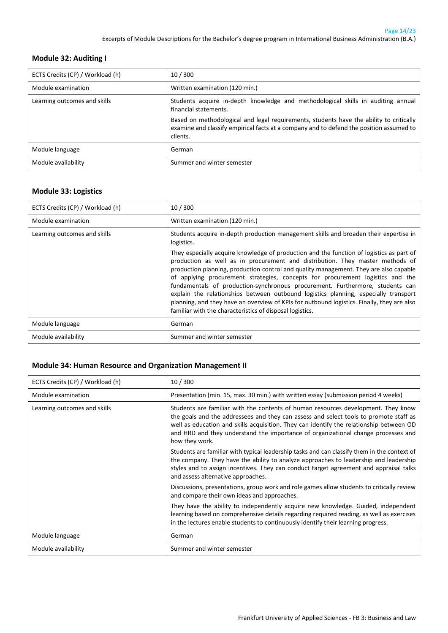#### <span id="page-13-0"></span>**Module 32: Auditing I**

| ECTS Credits (CP) / Workload (h) | 10/300                                                                                                                                                                                         |
|----------------------------------|------------------------------------------------------------------------------------------------------------------------------------------------------------------------------------------------|
| Module examination               | Written examination (120 min.)                                                                                                                                                                 |
| Learning outcomes and skills     | Students acquire in-depth knowledge and methodological skills in auditing annual<br>financial statements.                                                                                      |
|                                  | Based on methodological and legal requirements, students have the ability to critically<br>examine and classify empirical facts at a company and to defend the position assumed to<br>clients. |
| Module language                  | German                                                                                                                                                                                         |
| Module availability              | Summer and winter semester                                                                                                                                                                     |

#### <span id="page-13-1"></span>**Module 33: Logistics**

| ECTS Credits (CP) / Workload (h) | 10/300                                                                                                                                                                                                                                                                                                                                                                                                                                                                                                                                                                                                                                                                                                                                                                                        |
|----------------------------------|-----------------------------------------------------------------------------------------------------------------------------------------------------------------------------------------------------------------------------------------------------------------------------------------------------------------------------------------------------------------------------------------------------------------------------------------------------------------------------------------------------------------------------------------------------------------------------------------------------------------------------------------------------------------------------------------------------------------------------------------------------------------------------------------------|
| Module examination               | Written examination (120 min.)                                                                                                                                                                                                                                                                                                                                                                                                                                                                                                                                                                                                                                                                                                                                                                |
| Learning outcomes and skills     | Students acquire in-depth production management skills and broaden their expertise in<br>logistics.<br>They especially acquire knowledge of production and the function of logistics as part of<br>production as well as in procurement and distribution. They master methods of<br>production planning, production control and quality management. They are also capable<br>of applying procurement strategies, concepts for procurement logistics and the<br>fundamentals of production-synchronous procurement. Furthermore, students can<br>explain the relationships between outbound logistics planning, especially transport<br>planning, and they have an overview of KPIs for outbound logistics. Finally, they are also<br>familiar with the characteristics of disposal logistics. |
| Module language                  | German                                                                                                                                                                                                                                                                                                                                                                                                                                                                                                                                                                                                                                                                                                                                                                                        |
| Module availability              | Summer and winter semester                                                                                                                                                                                                                                                                                                                                                                                                                                                                                                                                                                                                                                                                                                                                                                    |

#### <span id="page-13-2"></span>**Module 34: Human Resource and Organization Management II**

| ECTS Credits (CP) / Workload (h) | 10/300                                                                                                                                                                                                                                                                                                                                                                       |
|----------------------------------|------------------------------------------------------------------------------------------------------------------------------------------------------------------------------------------------------------------------------------------------------------------------------------------------------------------------------------------------------------------------------|
| Module examination               | Presentation (min. 15, max. 30 min.) with written essay (submission period 4 weeks)                                                                                                                                                                                                                                                                                          |
| Learning outcomes and skills     | Students are familiar with the contents of human resources development. They know<br>the goals and the addressees and they can assess and select tools to promote staff as<br>well as education and skills acquisition. They can identify the relationship between OD<br>and HRD and they understand the importance of organizational change processes and<br>how they work. |
|                                  | Students are familiar with typical leadership tasks and can classify them in the context of<br>the company. They have the ability to analyze approaches to leadership and leadership<br>styles and to assign incentives. They can conduct target agreement and appraisal talks<br>and assess alternative approaches.                                                         |
|                                  | Discussions, presentations, group work and role games allow students to critically review<br>and compare their own ideas and approaches.                                                                                                                                                                                                                                     |
|                                  | They have the ability to independently acquire new knowledge. Guided, independent<br>learning based on comprehensive details regarding required reading, as well as exercises<br>in the lectures enable students to continuously identify their learning progress.                                                                                                           |
| Module language                  | German                                                                                                                                                                                                                                                                                                                                                                       |
| Module availability              | Summer and winter semester                                                                                                                                                                                                                                                                                                                                                   |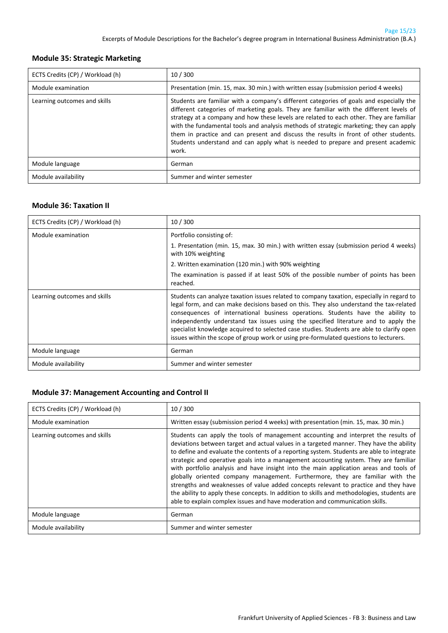#### <span id="page-14-0"></span>**Module 35: Strategic Marketing**

| ECTS Credits (CP) / Workload (h) | 10/300                                                                                                                                                                                                                                                                                                                                                                                                                                                                                                                                                       |
|----------------------------------|--------------------------------------------------------------------------------------------------------------------------------------------------------------------------------------------------------------------------------------------------------------------------------------------------------------------------------------------------------------------------------------------------------------------------------------------------------------------------------------------------------------------------------------------------------------|
| Module examination               | Presentation (min. 15, max. 30 min.) with written essay (submission period 4 weeks)                                                                                                                                                                                                                                                                                                                                                                                                                                                                          |
| Learning outcomes and skills     | Students are familiar with a company's different categories of goals and especially the<br>different categories of marketing goals. They are familiar with the different levels of<br>strategy at a company and how these levels are related to each other. They are familiar<br>with the fundamental tools and analysis methods of strategic marketing; they can apply<br>them in practice and can present and discuss the results in front of other students.<br>Students understand and can apply what is needed to prepare and present academic<br>work. |
| Module language                  | German                                                                                                                                                                                                                                                                                                                                                                                                                                                                                                                                                       |
| Module availability              | Summer and winter semester                                                                                                                                                                                                                                                                                                                                                                                                                                                                                                                                   |

#### <span id="page-14-1"></span>**Module 36: Taxation II**

| ECTS Credits (CP) / Workload (h) | 10/300                                                                                                                                                                                                                                                                                                                                                                                                                                                                                                                                              |
|----------------------------------|-----------------------------------------------------------------------------------------------------------------------------------------------------------------------------------------------------------------------------------------------------------------------------------------------------------------------------------------------------------------------------------------------------------------------------------------------------------------------------------------------------------------------------------------------------|
| Module examination               | Portfolio consisting of:                                                                                                                                                                                                                                                                                                                                                                                                                                                                                                                            |
|                                  | 1. Presentation (min. 15, max. 30 min.) with written essay (submission period 4 weeks)<br>with 10% weighting                                                                                                                                                                                                                                                                                                                                                                                                                                        |
|                                  | 2. Written examination (120 min.) with 90% weighting                                                                                                                                                                                                                                                                                                                                                                                                                                                                                                |
|                                  | The examination is passed if at least 50% of the possible number of points has been<br>reached.                                                                                                                                                                                                                                                                                                                                                                                                                                                     |
| Learning outcomes and skills     | Students can analyze taxation issues related to company taxation, especially in regard to<br>legal form, and can make decisions based on this. They also understand the tax-related<br>consequences of international business operations. Students have the ability to<br>independently understand tax issues using the specified literature and to apply the<br>specialist knowledge acquired to selected case studies. Students are able to clarify open<br>issues within the scope of group work or using pre-formulated questions to lecturers. |
| Module language                  | German                                                                                                                                                                                                                                                                                                                                                                                                                                                                                                                                              |
| Module availability              | Summer and winter semester                                                                                                                                                                                                                                                                                                                                                                                                                                                                                                                          |

#### <span id="page-14-2"></span>**Module 37: Management Accounting and Control II**

| ECTS Credits (CP) / Workload (h) | 10/300                                                                                                                                                                                                                                                                                                                                                                                                                                                                                                                                                                                                                                                                                                                                                                                                            |
|----------------------------------|-------------------------------------------------------------------------------------------------------------------------------------------------------------------------------------------------------------------------------------------------------------------------------------------------------------------------------------------------------------------------------------------------------------------------------------------------------------------------------------------------------------------------------------------------------------------------------------------------------------------------------------------------------------------------------------------------------------------------------------------------------------------------------------------------------------------|
| Module examination               | Written essay (submission period 4 weeks) with presentation (min. 15, max. 30 min.)                                                                                                                                                                                                                                                                                                                                                                                                                                                                                                                                                                                                                                                                                                                               |
| Learning outcomes and skills     | Students can apply the tools of management accounting and interpret the results of<br>deviations between target and actual values in a targeted manner. They have the ability<br>to define and evaluate the contents of a reporting system. Students are able to integrate<br>strategic and operative goals into a management accounting system. They are familiar<br>with portfolio analysis and have insight into the main application areas and tools of<br>globally oriented company management. Furthermore, they are familiar with the<br>strengths and weaknesses of value added concepts relevant to practice and they have<br>the ability to apply these concepts. In addition to skills and methodologies, students are<br>able to explain complex issues and have moderation and communication skills. |
| Module language                  | German                                                                                                                                                                                                                                                                                                                                                                                                                                                                                                                                                                                                                                                                                                                                                                                                            |
| Module availability              | Summer and winter semester                                                                                                                                                                                                                                                                                                                                                                                                                                                                                                                                                                                                                                                                                                                                                                                        |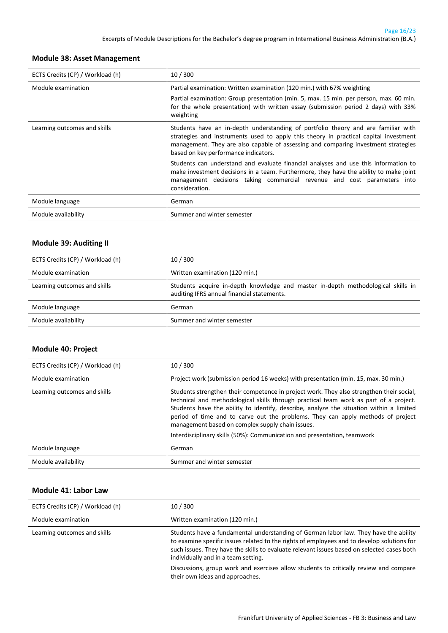#### <span id="page-15-0"></span>**Module 38: Asset Management**

| ECTS Credits (CP) / Workload (h) | 10/300                                                                                                                                                                                                                                                                                                                                                                                                                                                                                                                                                                               |
|----------------------------------|--------------------------------------------------------------------------------------------------------------------------------------------------------------------------------------------------------------------------------------------------------------------------------------------------------------------------------------------------------------------------------------------------------------------------------------------------------------------------------------------------------------------------------------------------------------------------------------|
| Module examination               | Partial examination: Written examination (120 min.) with 67% weighting<br>Partial examination: Group presentation (min. 5, max. 15 min. per person, max. 60 min.<br>for the whole presentation) with written essay (submission period 2 days) with 33%<br>weighting                                                                                                                                                                                                                                                                                                                  |
| Learning outcomes and skills     | Students have an in-depth understanding of portfolio theory and are familiar with<br>strategies and instruments used to apply this theory in practical capital investment<br>management. They are also capable of assessing and comparing investment strategies<br>based on key performance indicators.<br>Students can understand and evaluate financial analyses and use this information to<br>make investment decisions in a team. Furthermore, they have the ability to make joint<br>management decisions taking commercial revenue and cost parameters into<br>consideration. |
| Module language                  | German                                                                                                                                                                                                                                                                                                                                                                                                                                                                                                                                                                               |
| Module availability              | Summer and winter semester                                                                                                                                                                                                                                                                                                                                                                                                                                                                                                                                                           |

#### <span id="page-15-1"></span>**Module 39: Auditing II**

| ECTS Credits (CP) / Workload (h) | 10/300                                                                                                                         |
|----------------------------------|--------------------------------------------------------------------------------------------------------------------------------|
| Module examination               | Written examination (120 min.)                                                                                                 |
| Learning outcomes and skills     | Students acquire in-depth knowledge and master in-depth methodological skills in<br>auditing IFRS annual financial statements. |
| Module language                  | German                                                                                                                         |
| Module availability              | Summer and winter semester                                                                                                     |

#### <span id="page-15-2"></span>**Module 40: Project**

| ECTS Credits (CP) / Workload (h) | 10/300                                                                                                                                                                                                                                                                                                                                                                                                                                                                                          |
|----------------------------------|-------------------------------------------------------------------------------------------------------------------------------------------------------------------------------------------------------------------------------------------------------------------------------------------------------------------------------------------------------------------------------------------------------------------------------------------------------------------------------------------------|
| Module examination               | Project work (submission period 16 weeks) with presentation (min. 15, max. 30 min.)                                                                                                                                                                                                                                                                                                                                                                                                             |
| Learning outcomes and skills     | Students strengthen their competence in project work. They also strengthen their social,<br>technical and methodological skills through practical team work as part of a project.<br>Students have the ability to identify, describe, analyze the situation within a limited<br>period of time and to carve out the problems. They can apply methods of project<br>management based on complex supply chain issues.<br>Interdisciplinary skills (50%): Communication and presentation, teamwork |
| Module language                  | German                                                                                                                                                                                                                                                                                                                                                                                                                                                                                          |
| Module availability              | Summer and winter semester                                                                                                                                                                                                                                                                                                                                                                                                                                                                      |

#### <span id="page-15-3"></span>**Module 41: Labor Law**

| ECTS Credits (CP) / Workload (h) | 10/300                                                                                                                                                                                                                                                                                                                                                                                                                                              |
|----------------------------------|-----------------------------------------------------------------------------------------------------------------------------------------------------------------------------------------------------------------------------------------------------------------------------------------------------------------------------------------------------------------------------------------------------------------------------------------------------|
| Module examination               | Written examination (120 min.)                                                                                                                                                                                                                                                                                                                                                                                                                      |
| Learning outcomes and skills     | Students have a fundamental understanding of German labor law. They have the ability<br>to examine specific issues related to the rights of employees and to develop solutions for<br>such issues. They have the skills to evaluate relevant issues based on selected cases both<br>individually and in a team setting.<br>Discussions, group work and exercises allow students to critically review and compare<br>their own ideas and approaches. |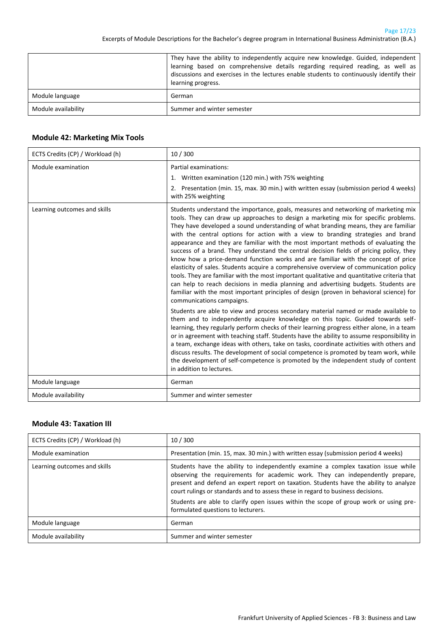|                     | They have the ability to independently acquire new knowledge. Guided, independent<br>learning based on comprehensive details regarding required reading, as well as<br>discussions and exercises in the lectures enable students to continuously identify their<br>learning progress. |
|---------------------|---------------------------------------------------------------------------------------------------------------------------------------------------------------------------------------------------------------------------------------------------------------------------------------|
| Module language     | German                                                                                                                                                                                                                                                                                |
| Module availability | Summer and winter semester                                                                                                                                                                                                                                                            |

#### <span id="page-16-0"></span>**Module 42: Marketing Mix Tools**

| ECTS Credits (CP) / Workload (h) | 10/300                                                                                                                                                                                                                                                                                                                                                                                                                                                                                                                                                                                                                                                                                                                                                                                                                                                                                                                                                                                                                               |
|----------------------------------|--------------------------------------------------------------------------------------------------------------------------------------------------------------------------------------------------------------------------------------------------------------------------------------------------------------------------------------------------------------------------------------------------------------------------------------------------------------------------------------------------------------------------------------------------------------------------------------------------------------------------------------------------------------------------------------------------------------------------------------------------------------------------------------------------------------------------------------------------------------------------------------------------------------------------------------------------------------------------------------------------------------------------------------|
| Module examination               | Partial examinations:<br>1. Written examination (120 min.) with 75% weighting<br>2. Presentation (min. 15, max. 30 min.) with written essay (submission period 4 weeks)<br>with 25% weighting                                                                                                                                                                                                                                                                                                                                                                                                                                                                                                                                                                                                                                                                                                                                                                                                                                        |
| Learning outcomes and skills     | Students understand the importance, goals, measures and networking of marketing mix<br>tools. They can draw up approaches to design a marketing mix for specific problems.<br>They have developed a sound understanding of what branding means, they are familiar<br>with the central options for action with a view to branding strategies and brand<br>appearance and they are familiar with the most important methods of evaluating the<br>success of a brand. They understand the central decision fields of pricing policy, they<br>know how a price-demand function works and are familiar with the concept of price<br>elasticity of sales. Students acquire a comprehensive overview of communication policy<br>tools. They are familiar with the most important qualitative and quantitative criteria that<br>can help to reach decisions in media planning and advertising budgets. Students are<br>familiar with the most important principles of design (proven in behavioral science) for<br>communications campaigns. |
|                                  | Students are able to view and process secondary material named or made available to<br>them and to independently acquire knowledge on this topic. Guided towards self-<br>learning, they regularly perform checks of their learning progress either alone, in a team<br>or in agreement with teaching staff. Students have the ability to assume responsibility in<br>a team, exchange ideas with others, take on tasks, coordinate activities with others and<br>discuss results. The development of social competence is promoted by team work, while<br>the development of self-competence is promoted by the independent study of content<br>in addition to lectures.                                                                                                                                                                                                                                                                                                                                                            |
| Module language                  | German                                                                                                                                                                                                                                                                                                                                                                                                                                                                                                                                                                                                                                                                                                                                                                                                                                                                                                                                                                                                                               |
| Module availability              | Summer and winter semester                                                                                                                                                                                                                                                                                                                                                                                                                                                                                                                                                                                                                                                                                                                                                                                                                                                                                                                                                                                                           |

#### <span id="page-16-1"></span>**Module 43: Taxation III**

| ECTS Credits (CP) / Workload (h) | 10/300                                                                                                                                                                                                                                                                                                                                                                                                                                                                        |
|----------------------------------|-------------------------------------------------------------------------------------------------------------------------------------------------------------------------------------------------------------------------------------------------------------------------------------------------------------------------------------------------------------------------------------------------------------------------------------------------------------------------------|
| Module examination               | Presentation (min. 15, max. 30 min.) with written essay (submission period 4 weeks)                                                                                                                                                                                                                                                                                                                                                                                           |
| Learning outcomes and skills     | Students have the ability to independently examine a complex taxation issue while<br>observing the requirements for academic work. They can independently prepare,<br>present and defend an expert report on taxation. Students have the ability to analyze<br>court rulings or standards and to assess these in regard to business decisions.<br>Students are able to clarify open issues within the scope of group work or using pre-<br>formulated questions to lecturers. |
| Module language                  | German                                                                                                                                                                                                                                                                                                                                                                                                                                                                        |
| Module availability              | Summer and winter semester                                                                                                                                                                                                                                                                                                                                                                                                                                                    |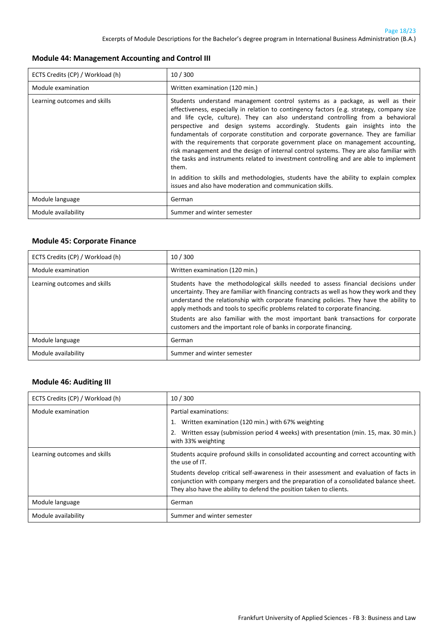#### <span id="page-17-0"></span>**Module 44: Management Accounting and Control III**

| ECTS Credits (CP) / Workload (h) | 10/300                                                                                                                                                                                                                                                                                                                                                                                                                                                                                                                                                                                                                                                                                                                                                                                                                                                                    |
|----------------------------------|---------------------------------------------------------------------------------------------------------------------------------------------------------------------------------------------------------------------------------------------------------------------------------------------------------------------------------------------------------------------------------------------------------------------------------------------------------------------------------------------------------------------------------------------------------------------------------------------------------------------------------------------------------------------------------------------------------------------------------------------------------------------------------------------------------------------------------------------------------------------------|
| Module examination               | Written examination (120 min.)                                                                                                                                                                                                                                                                                                                                                                                                                                                                                                                                                                                                                                                                                                                                                                                                                                            |
| Learning outcomes and skills     | Students understand management control systems as a package, as well as their<br>effectiveness, especially in relation to contingency factors (e.g. strategy, company size<br>and life cycle, culture). They can also understand controlling from a behavioral<br>perspective and design systems accordingly. Students gain insights into the<br>fundamentals of corporate constitution and corporate governance. They are familiar<br>with the requirements that corporate government place on management accounting,<br>risk management and the design of internal control systems. They are also familiar with<br>the tasks and instruments related to investment controlling and are able to implement<br>them.<br>In addition to skills and methodologies, students have the ability to explain complex<br>issues and also have moderation and communication skills. |
| Module language                  | German                                                                                                                                                                                                                                                                                                                                                                                                                                                                                                                                                                                                                                                                                                                                                                                                                                                                    |
| Module availability              | Summer and winter semester                                                                                                                                                                                                                                                                                                                                                                                                                                                                                                                                                                                                                                                                                                                                                                                                                                                |

#### <span id="page-17-1"></span>**Module 45: Corporate Finance**

| ECTS Credits (CP) / Workload (h) | 10/300                                                                                                                                                                                                                                                                                                                                                                                                                                                                                                                |
|----------------------------------|-----------------------------------------------------------------------------------------------------------------------------------------------------------------------------------------------------------------------------------------------------------------------------------------------------------------------------------------------------------------------------------------------------------------------------------------------------------------------------------------------------------------------|
| Module examination               | Written examination (120 min.)                                                                                                                                                                                                                                                                                                                                                                                                                                                                                        |
| Learning outcomes and skills     | Students have the methodological skills needed to assess financial decisions under<br>uncertainty. They are familiar with financing contracts as well as how they work and they<br>understand the relationship with corporate financing policies. They have the ability to<br>apply methods and tools to specific problems related to corporate financing.<br>Students are also familiar with the most important bank transactions for corporate<br>customers and the important role of banks in corporate financing. |
| Module language                  | German                                                                                                                                                                                                                                                                                                                                                                                                                                                                                                                |
| Module availability              | Summer and winter semester                                                                                                                                                                                                                                                                                                                                                                                                                                                                                            |

#### <span id="page-17-2"></span>**Module 46: Auditing III**

| ECTS Credits (CP) / Workload (h) | 10/300                                                                                                                                                                                                                                                  |
|----------------------------------|---------------------------------------------------------------------------------------------------------------------------------------------------------------------------------------------------------------------------------------------------------|
| Module examination               | Partial examinations:                                                                                                                                                                                                                                   |
|                                  | 1. Written examination (120 min.) with 67% weighting                                                                                                                                                                                                    |
|                                  | 2. Written essay (submission period 4 weeks) with presentation (min. 15, max. 30 min.)<br>with 33% weighting                                                                                                                                            |
| Learning outcomes and skills     | Students acquire profound skills in consolidated accounting and correct accounting with<br>the use of IT.                                                                                                                                               |
|                                  | Students develop critical self-awareness in their assessment and evaluation of facts in<br>conjunction with company mergers and the preparation of a consolidated balance sheet.<br>They also have the ability to defend the position taken to clients. |
| Module language                  | German                                                                                                                                                                                                                                                  |
| Module availability              | Summer and winter semester                                                                                                                                                                                                                              |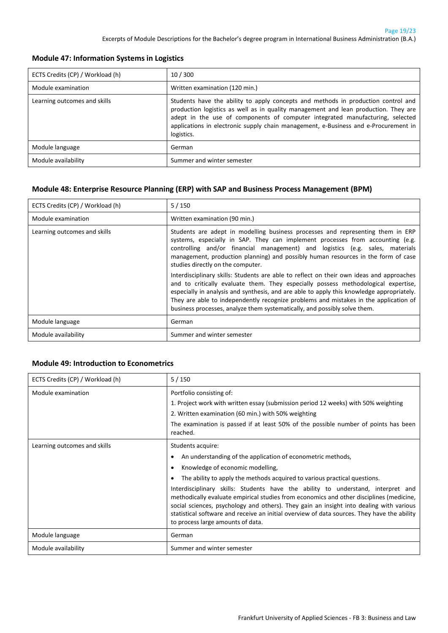| ECTS Credits (CP) / Workload (h) | 10/300                                                                                                                                                                                                                                                                                                                                                         |
|----------------------------------|----------------------------------------------------------------------------------------------------------------------------------------------------------------------------------------------------------------------------------------------------------------------------------------------------------------------------------------------------------------|
| Module examination               | Written examination (120 min.)                                                                                                                                                                                                                                                                                                                                 |
| Learning outcomes and skills     | Students have the ability to apply concepts and methods in production control and<br>production logistics as well as in quality management and lean production. They are<br>adept in the use of components of computer integrated manufacturing, selected<br>applications in electronic supply chain management, e-Business and e-Procurement in<br>logistics. |
| Module language                  | German                                                                                                                                                                                                                                                                                                                                                         |
| Module availability              | Summer and winter semester                                                                                                                                                                                                                                                                                                                                     |

#### <span id="page-18-0"></span>**Module 47: Information Systems in Logistics**

#### <span id="page-18-1"></span>**Module 48: Enterprise Resource Planning (ERP) with SAP and Business Process Management (BPM)**

| ECTS Credits (CP) / Workload (h) | 5/150                                                                                                                                                                                                                                                                                                                                                                                                                                            |
|----------------------------------|--------------------------------------------------------------------------------------------------------------------------------------------------------------------------------------------------------------------------------------------------------------------------------------------------------------------------------------------------------------------------------------------------------------------------------------------------|
| Module examination               | Written examination (90 min.)                                                                                                                                                                                                                                                                                                                                                                                                                    |
| Learning outcomes and skills     | Students are adept in modelling business processes and representing them in ERP<br>systems, especially in SAP. They can implement processes from accounting (e.g.<br>controlling and/or financial management) and logistics (e.g. sales, materials<br>management, production planning) and possibly human resources in the form of case<br>studies directly on the computer.                                                                     |
|                                  | Interdisciplinary skills: Students are able to reflect on their own ideas and approaches<br>and to critically evaluate them. They especially possess methodological expertise,<br>especially in analysis and synthesis, and are able to apply this knowledge appropriately.<br>They are able to independently recognize problems and mistakes in the application of<br>business processes, analyze them systematically, and possibly solve them. |
| Module language                  | German                                                                                                                                                                                                                                                                                                                                                                                                                                           |
| Module availability              | Summer and winter semester                                                                                                                                                                                                                                                                                                                                                                                                                       |

#### <span id="page-18-2"></span>**Module 49: Introduction to Econometrics**

| ECTS Credits (CP) / Workload (h) | 5/150                                                                                                                                                                                                                                                                                                                                                                                                                                                                                                                                                                                                                                     |
|----------------------------------|-------------------------------------------------------------------------------------------------------------------------------------------------------------------------------------------------------------------------------------------------------------------------------------------------------------------------------------------------------------------------------------------------------------------------------------------------------------------------------------------------------------------------------------------------------------------------------------------------------------------------------------------|
| Module examination               | Portfolio consisting of:<br>1. Project work with written essay (submission period 12 weeks) with 50% weighting<br>2. Written examination (60 min.) with 50% weighting<br>The examination is passed if at least 50% of the possible number of points has been<br>reached.                                                                                                                                                                                                                                                                                                                                                                  |
| Learning outcomes and skills     | Students acquire:<br>An understanding of the application of econometric methods,<br>$\bullet$<br>Knowledge of economic modelling,<br>$\bullet$<br>The ability to apply the methods acquired to various practical questions.<br>Interdisciplinary skills: Students have the ability to understand, interpret and<br>methodically evaluate empirical studies from economics and other disciplines (medicine,<br>social sciences, psychology and others). They gain an insight into dealing with various<br>statistical software and receive an initial overview of data sources. They have the ability<br>to process large amounts of data. |
| Module language                  | German                                                                                                                                                                                                                                                                                                                                                                                                                                                                                                                                                                                                                                    |
| Module availability              | Summer and winter semester                                                                                                                                                                                                                                                                                                                                                                                                                                                                                                                                                                                                                |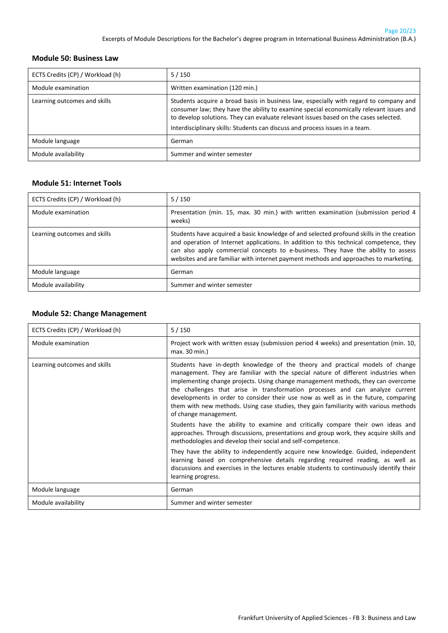#### <span id="page-19-0"></span>**Module 50: Business Law**

| ECTS Credits (CP) / Workload (h) | $5/150$                                                                                                                                                                                                                                                                                                                                                  |
|----------------------------------|----------------------------------------------------------------------------------------------------------------------------------------------------------------------------------------------------------------------------------------------------------------------------------------------------------------------------------------------------------|
| Module examination               | Written examination (120 min.)                                                                                                                                                                                                                                                                                                                           |
| Learning outcomes and skills     | Students acquire a broad basis in business law, especially with regard to company and<br>consumer law; they have the ability to examine special economically relevant issues and<br>to develop solutions. They can evaluate relevant issues based on the cases selected.<br>Interdisciplinary skills: Students can discuss and process issues in a team. |
| Module language                  | German                                                                                                                                                                                                                                                                                                                                                   |
| Module availability              | Summer and winter semester                                                                                                                                                                                                                                                                                                                               |

#### <span id="page-19-1"></span>**Module 51: Internet Tools**

| ECTS Credits (CP) / Workload (h) | $5/150$                                                                                                                                                                                                                                                                                                                                                         |
|----------------------------------|-----------------------------------------------------------------------------------------------------------------------------------------------------------------------------------------------------------------------------------------------------------------------------------------------------------------------------------------------------------------|
| Module examination               | Presentation (min. 15, max. 30 min.) with written examination (submission period 4<br>weeks)                                                                                                                                                                                                                                                                    |
| Learning outcomes and skills     | Students have acquired a basic knowledge of and selected profound skills in the creation<br>and operation of Internet applications. In addition to this technical competence, they<br>can also apply commercial concepts to e-business. They have the ability to assess<br>websites and are familiar with internet payment methods and approaches to marketing. |
| Module language                  | German                                                                                                                                                                                                                                                                                                                                                          |
| Module availability              | Summer and winter semester                                                                                                                                                                                                                                                                                                                                      |

#### <span id="page-19-2"></span>**Module 52: Change Management**

| ECTS Credits (CP) / Workload (h) | 5/150                                                                                                                                                                                                                                                                                                                                                                                                                                                                                                                                             |
|----------------------------------|---------------------------------------------------------------------------------------------------------------------------------------------------------------------------------------------------------------------------------------------------------------------------------------------------------------------------------------------------------------------------------------------------------------------------------------------------------------------------------------------------------------------------------------------------|
| Module examination               | Project work with written essay (submission period 4 weeks) and presentation (min. 10,<br>max. 30 min.)                                                                                                                                                                                                                                                                                                                                                                                                                                           |
| Learning outcomes and skills     | Students have in-depth knowledge of the theory and practical models of change<br>management. They are familiar with the special nature of different industries when<br>implementing change projects. Using change management methods, they can overcome<br>the challenges that arise in transformation processes and can analyze current<br>developments in order to consider their use now as well as in the future, comparing<br>them with new methods. Using case studies, they gain familiarity with various methods<br>of change management. |
|                                  | Students have the ability to examine and critically compare their own ideas and<br>approaches. Through discussions, presentations and group work, they acquire skills and<br>methodologies and develop their social and self-competence.                                                                                                                                                                                                                                                                                                          |
|                                  | They have the ability to independently acquire new knowledge. Guided, independent<br>learning based on comprehensive details regarding required reading, as well as<br>discussions and exercises in the lectures enable students to continuously identify their<br>learning progress.                                                                                                                                                                                                                                                             |
| Module language                  | German                                                                                                                                                                                                                                                                                                                                                                                                                                                                                                                                            |
| Module availability              | Summer and winter semester                                                                                                                                                                                                                                                                                                                                                                                                                                                                                                                        |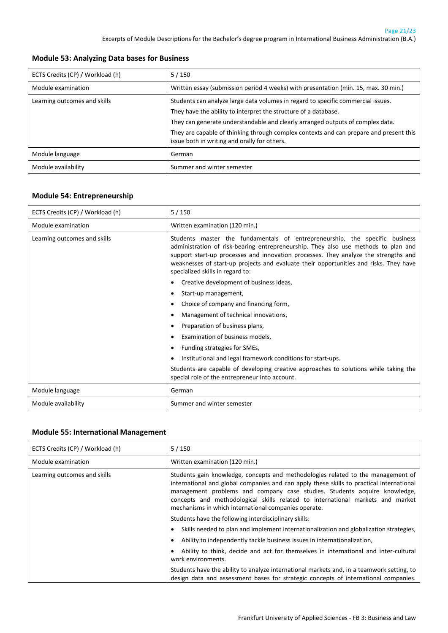| ECTS Credits (CP) / Workload (h) | $5/150$                                                                                                                                                                                                                                                                                                                                                                         |
|----------------------------------|---------------------------------------------------------------------------------------------------------------------------------------------------------------------------------------------------------------------------------------------------------------------------------------------------------------------------------------------------------------------------------|
| Module examination               | Written essay (submission period 4 weeks) with presentation (min. 15, max. 30 min.)                                                                                                                                                                                                                                                                                             |
| Learning outcomes and skills     | Students can analyze large data volumes in regard to specific commercial issues.<br>They have the ability to interpret the structure of a database.<br>They can generate understandable and clearly arranged outputs of complex data.<br>They are capable of thinking through complex contexts and can prepare and present this<br>issue both in writing and orally for others. |
|                                  |                                                                                                                                                                                                                                                                                                                                                                                 |
| Module language                  | German                                                                                                                                                                                                                                                                                                                                                                          |
| Module availability              | Summer and winter semester                                                                                                                                                                                                                                                                                                                                                      |

#### <span id="page-20-0"></span>**Module 53: Analyzing Data bases for Business**

#### <span id="page-20-1"></span>**Module 54: Entrepreneurship**

| ECTS Credits (CP) / Workload (h) | 5/150                                                                                                                                                                                                                                                                                                                                                                                 |
|----------------------------------|---------------------------------------------------------------------------------------------------------------------------------------------------------------------------------------------------------------------------------------------------------------------------------------------------------------------------------------------------------------------------------------|
| Module examination               | Written examination (120 min.)                                                                                                                                                                                                                                                                                                                                                        |
| Learning outcomes and skills     | Students master the fundamentals of entrepreneurship, the specific business<br>administration of risk-bearing entrepreneurship. They also use methods to plan and<br>support start-up processes and innovation processes. They analyze the strengths and<br>weaknesses of start-up projects and evaluate their opportunities and risks. They have<br>specialized skills in regard to: |
|                                  | Creative development of business ideas,<br>$\bullet$                                                                                                                                                                                                                                                                                                                                  |
|                                  | Start-up management,<br>٠                                                                                                                                                                                                                                                                                                                                                             |
|                                  | Choice of company and financing form,<br>$\bullet$                                                                                                                                                                                                                                                                                                                                    |
|                                  | Management of technical innovations,<br>٠                                                                                                                                                                                                                                                                                                                                             |
|                                  | Preparation of business plans,<br>٠                                                                                                                                                                                                                                                                                                                                                   |
|                                  | Examination of business models,<br>٠                                                                                                                                                                                                                                                                                                                                                  |
|                                  | Funding strategies for SMEs,<br>٠                                                                                                                                                                                                                                                                                                                                                     |
|                                  | Institutional and legal framework conditions for start-ups.<br>٠                                                                                                                                                                                                                                                                                                                      |
|                                  | Students are capable of developing creative approaches to solutions while taking the<br>special role of the entrepreneur into account.                                                                                                                                                                                                                                                |
| Module language                  | German                                                                                                                                                                                                                                                                                                                                                                                |
| Module availability              | Summer and winter semester                                                                                                                                                                                                                                                                                                                                                            |

#### <span id="page-20-2"></span>**Module 55: International Management**

| ECTS Credits (CP) / Workload (h) | $5/150$                                                                                                                                                                                                                                                                                                                                                                                             |
|----------------------------------|-----------------------------------------------------------------------------------------------------------------------------------------------------------------------------------------------------------------------------------------------------------------------------------------------------------------------------------------------------------------------------------------------------|
| Module examination               | Written examination (120 min.)                                                                                                                                                                                                                                                                                                                                                                      |
| Learning outcomes and skills     | Students gain knowledge, concepts and methodologies related to the management of<br>international and global companies and can apply these skills to practical international<br>management problems and company case studies. Students acquire knowledge,<br>concepts and methodological skills related to international markets and market<br>mechanisms in which international companies operate. |
|                                  | Students have the following interdisciplinary skills:                                                                                                                                                                                                                                                                                                                                               |
|                                  | Skills needed to plan and implement internationalization and globalization strategies,<br>٠                                                                                                                                                                                                                                                                                                         |
|                                  | Ability to independently tackle business issues in internationalization,<br>$\bullet$                                                                                                                                                                                                                                                                                                               |
|                                  | Ability to think, decide and act for themselves in international and inter-cultural<br>work environments.                                                                                                                                                                                                                                                                                           |
|                                  | Students have the ability to analyze international markets and, in a teamwork setting, to<br>design data and assessment bases for strategic concepts of international companies.                                                                                                                                                                                                                    |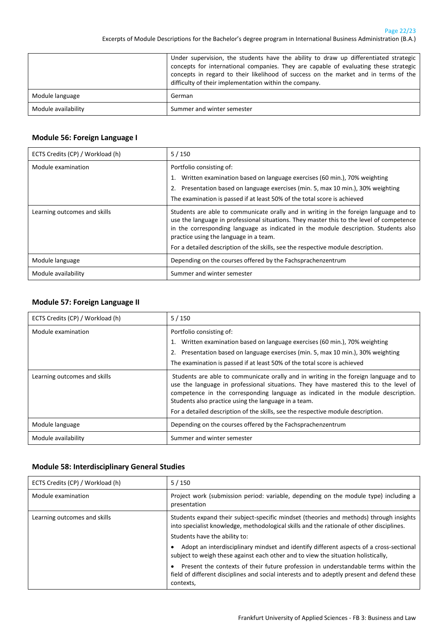Page 22/23 Excerpts of Module Descriptions for the Bachelor's degree program in International Business Administration (B.A.)

|                     | Under supervision, the students have the ability to draw up differentiated strategic<br>concepts for international companies. They are capable of evaluating these strategic<br>concepts in regard to their likelihood of success on the market and in terms of the<br>difficulty of their implementation within the company. |
|---------------------|-------------------------------------------------------------------------------------------------------------------------------------------------------------------------------------------------------------------------------------------------------------------------------------------------------------------------------|
| Module language     | German                                                                                                                                                                                                                                                                                                                        |
| Module availability | Summer and winter semester                                                                                                                                                                                                                                                                                                    |

#### <span id="page-21-0"></span>**Module 56: Foreign Language I**

| ECTS Credits (CP) / Workload (h) | $5/150$                                                                                                                                                                                                                                                                                                                                                                                                |
|----------------------------------|--------------------------------------------------------------------------------------------------------------------------------------------------------------------------------------------------------------------------------------------------------------------------------------------------------------------------------------------------------------------------------------------------------|
| Module examination               | Portfolio consisting of:<br>1. Written examination based on language exercises (60 min.), 70% weighting<br>2. Presentation based on language exercises (min. 5, max 10 min.), 30% weighting<br>The examination is passed if at least 50% of the total score is achieved                                                                                                                                |
| Learning outcomes and skills     | Students are able to communicate orally and in writing in the foreign language and to<br>use the language in professional situations. They master this to the level of competence<br>in the corresponding language as indicated in the module description. Students also<br>practice using the language in a team.<br>For a detailed description of the skills, see the respective module description. |
| Module language                  | Depending on the courses offered by the Fachsprachenzentrum                                                                                                                                                                                                                                                                                                                                            |
| Module availability              | Summer and winter semester                                                                                                                                                                                                                                                                                                                                                                             |

#### <span id="page-21-1"></span>**Module 57: Foreign Language II**

| ECTS Credits (CP) / Workload (h) | 5/150                                                                                                                                                                                                                                                                                                                                                                                                         |
|----------------------------------|---------------------------------------------------------------------------------------------------------------------------------------------------------------------------------------------------------------------------------------------------------------------------------------------------------------------------------------------------------------------------------------------------------------|
| Module examination               | Portfolio consisting of:<br>1. Written examination based on language exercises (60 min.), 70% weighting<br>2. Presentation based on language exercises (min. 5, max 10 min.), 30% weighting<br>The examination is passed if at least 50% of the total score is achieved                                                                                                                                       |
| Learning outcomes and skills     | Students are able to communicate orally and in writing in the foreign language and to<br>use the language in professional situations. They have mastered this to the level of<br>competence in the corresponding language as indicated in the module description.<br>Students also practice using the language in a team.<br>For a detailed description of the skills, see the respective module description. |
| Module language                  | Depending on the courses offered by the Fachsprachenzentrum                                                                                                                                                                                                                                                                                                                                                   |
| Module availability              | Summer and winter semester                                                                                                                                                                                                                                                                                                                                                                                    |

#### <span id="page-21-2"></span>**Module 58: Interdisciplinary General Studies**

| ECTS Credits (CP) / Workload (h) | 5/150                                                                                                                                                                                                                                                                                                                                                                                              |
|----------------------------------|----------------------------------------------------------------------------------------------------------------------------------------------------------------------------------------------------------------------------------------------------------------------------------------------------------------------------------------------------------------------------------------------------|
| Module examination               | Project work (submission period: variable, depending on the module type) including a<br>presentation                                                                                                                                                                                                                                                                                               |
| Learning outcomes and skills     | Students expand their subject-specific mindset (theories and methods) through insights<br>into specialist knowledge, methodological skills and the rationale of other disciplines.<br>Students have the ability to:<br>Adopt an interdisciplinary mindset and identify different aspects of a cross-sectional<br>subject to weigh these against each other and to view the situation holistically, |
|                                  | Present the contexts of their future profession in understandable terms within the<br>field of different disciplines and social interests and to adeptly present and defend these<br>contexts,                                                                                                                                                                                                     |